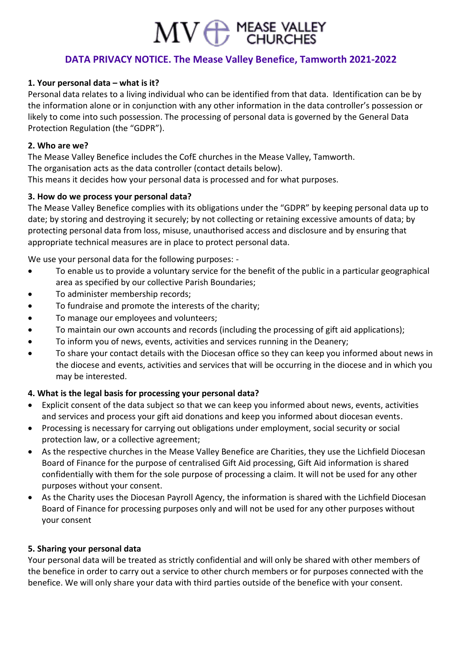# $MV \bigoplus_{CHURCHES}$

## **DATA PRIVACY NOTICE. The Mease Valley Benefice, Tamworth 2021-2022**

## **1. Your personal data – what is it?**

Personal data relates to a living individual who can be identified from that data. Identification can be by the information alone or in conjunction with any other information in the data controller's possession or likely to come into such possession. The processing of personal data is governed by the General Data Protection Regulation (the "GDPR").

#### **2. Who are we?**

The Mease Valley Benefice includes the CofE churches in the Mease Valley, Tamworth. The organisation acts as the data controller (contact details below). This means it decides how your personal data is processed and for what purposes.

## **3. How do we process your personal data?**

The Mease Valley Benefice complies with its obligations under the "GDPR" by keeping personal data up to date; by storing and destroying it securely; by not collecting or retaining excessive amounts of data; by protecting personal data from loss, misuse, unauthorised access and disclosure and by ensuring that appropriate technical measures are in place to protect personal data.

We use your personal data for the following purposes: -

- To enable us to provide a voluntary service for the benefit of the public in a particular geographical area as specified by our collective Parish Boundaries;
- To administer membership records;
- To fundraise and promote the interests of the charity;
- To manage our employees and volunteers;
- To maintain our own accounts and records (including the processing of gift aid applications);
- To inform you of news, events, activities and services running in the Deanery;
- To share your contact details with the Diocesan office so they can keep you informed about news in the diocese and events, activities and services that will be occurring in the diocese and in which you may be interested.

## **4. What is the legal basis for processing your personal data?**

- Explicit consent of the data subject so that we can keep you informed about news, events, activities and services and process your gift aid donations and keep you informed about diocesan events.
- Processing is necessary for carrying out obligations under employment, social security or social protection law, or a collective agreement;
- As the respective churches in the Mease Valley Benefice are Charities, they use the Lichfield Diocesan Board of Finance for the purpose of centralised Gift Aid processing, Gift Aid information is shared confidentially with them for the sole purpose of processing a claim. It will not be used for any other purposes without your consent.
- As the Charity uses the Diocesan Payroll Agency, the information is shared with the Lichfield Diocesan Board of Finance for processing purposes only and will not be used for any other purposes without your consent

#### **5. Sharing your personal data**

Your personal data will be treated as strictly confidential and will only be shared with other members of the benefice in order to carry out a service to other church members or for purposes connected with the benefice. We will only share your data with third parties outside of the benefice with your consent.